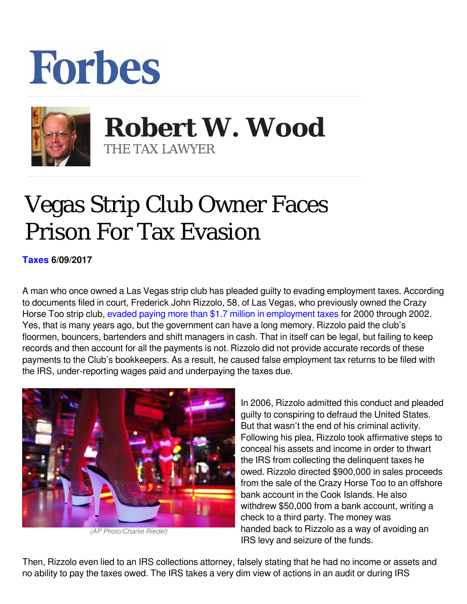## **Forbes**



 **Robert W. Wood** THE TAX LAWYER

## Vegas Strip Club Owner Faces Prison For Tax Evasion

**[Taxes](https://www.forbes.com/taxes) 6/09/2017** 

A man who once owned a Las Vegas strip club has pleaded guilty to evading employment taxes. According to documents filed in court, Frederick John Rizzolo, 58, of Las Vegas, who previously owned the Crazy Horse Too strip club, [evaded paying more than \\$1.7 million in employment taxes](https://www.justice.gov/opa/pr/former-las-vegas-strip-club-owner-pleads-guilty-evading-more-17-million-employment-taxes) for 2000 through 2002. Yes, that is many years ago, but the government can have a long memory. Rizzolo paid the club's floormen, bouncers, bartenders and shift managers in cash. That in itself can be legal, but failing to keep records and then account for all the payments is not. Rizzolo did not provide accurate records of these payments to the Club's bookkeepers. As a result, he caused false employment tax returns to be filed with the IRS, under-reporting wages paid and underpaying the taxes due.



*(AP Photo/Charlie Riedel)*

In 2006, Rizzolo admitted this conduct and pleaded guilty to conspiring to defraud the United States. But that wasn't the end of his criminal activity. Following his plea, Rizzolo took affirmative steps to conceal his assets and income in order to thwart the IRS from collecting the delinquent taxes he owed. Rizzolo directed \$900,000 in sales proceeds from the sale of the Crazy Horse Too to an offshore bank account in the Cook Islands. He also withdrew \$50,000 from a bank account, writing a check to a third party. The money was handed back to Rizzolo as a way of avoiding an IRS levy and seizure of the funds.

Then, Rizzolo even lied to an IRS collections attorney, falsely stating that he had no income or assets and no ability to pay the taxes owed. The IRS takes a very dim view of actions in an audit or during IRS